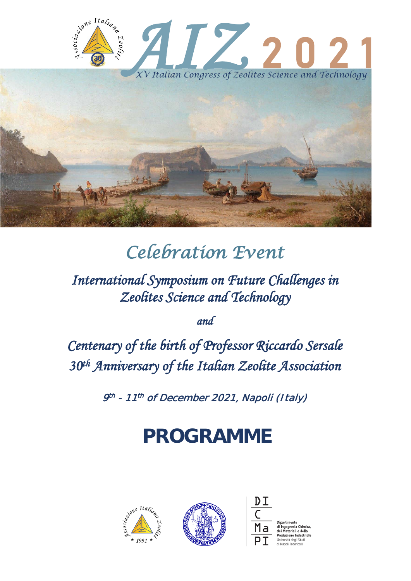

# *Celebration Event*

*International Symposium on Future Challenges in Zeolites Science and Technology* 

*and* 

*Centenary of the birth of Professor Riccardo Sersale 30th Anniversary of the Italian Zeolite Association* 

9<sup>th</sup> - 11<sup>th</sup> of December 2021, Napoli (Italy)

# **PROGRAMME**

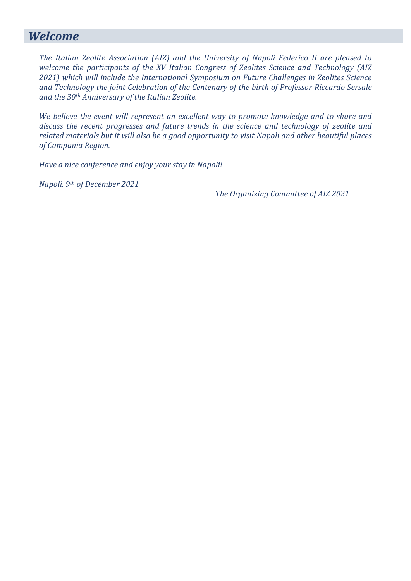### *Welcome*

*The Italian Zeolite Association (AIZ) and the University of Napoli Federico II are pleased to welcome the participants of the XV Italian Congress of Zeolites Science and Technology (AIZ 2021) which will include the International Symposium on Future Challenges in Zeolites Science and Technology the joint Celebration of the Centenary of the birth of Professor Riccardo Sersale and the 30th Anniversary of the Italian Zeolite.*

*We believe the event will represent an excellent way to promote knowledge and to share and discuss the recent progresses and future trends in the science and technology of zeolite and related materials but it will also be a good opportunity to visit Napoli and other beautiful places of Campania Region.*

*Have a nice conference and enjoy your stay in Napoli!*

*Napoli, 9th of December 2021*

*The Organizing Committee of AIZ 2021*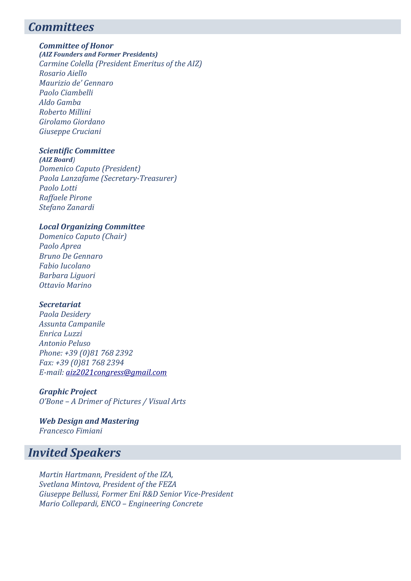### *Committees*

#### *Committee of Honor*

*(AIZ Founders and Former Presidents) Carmine Colella (President Emeritus of the AIZ) Rosario Aiello Maurizio de' Gennaro Paolo Ciambelli Aldo Gamba Roberto Millini Girolamo Giordano Giuseppe Cruciani*

#### *Scientific Committee*

*(AIZ Board) Domenico Caputo (President) Paola Lanzafame (Secretary-Treasurer) Paolo Lotti Raffaele Pirone Stefano Zanardi* 

#### *Local Organizing Committee*

*Domenico Caputo (Chair) Paolo Aprea Bruno De Gennaro Fabio Iucolano Barbara Liguori Ottavio Marino*

#### *Secretariat*

*Paola Desidery Assunta Campanile Enrica Luzzi Antonio Peluso Phone: +39 (0)81 768 2392 Fax: +39 (0)81 768 2394 E-mail: [aiz2021congress@gmail.com](mailto:aiz2021congress@gmail.com)*

#### *Graphic Project*

*O'Bone – A Drimer of Pictures / Visual Arts* 

#### *Web Design and Mastering Francesco Fimiani*

### *Invited Speakers*

*Martin Hartmann, President of the IZA, Svetlana Mintova, President of the FEZA Giuseppe Bellussi, Former Eni R&D Senior Vice-President Mario Collepardi, ENCO – Engineering Concrete*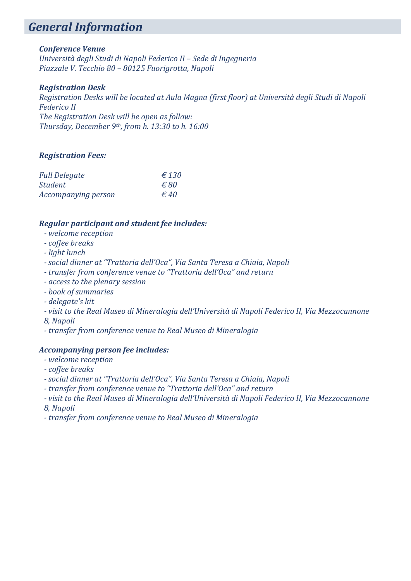### *General Information*

#### *Conference Venue*

*Università degli Studi di Napoli Federico II – Sede di Ingegneria Piazzale V. Tecchio 80 – 80125 Fuorigrotta, Napoli*

#### *Registration Desk*

*Registration Desks will be located at Aula Magna (first floor) at Università degli Studi di Napoli Federico II The Registration Desk will be open as follow: Thursday, December 9th, from h. 13:30 to h. 16:00*

#### *Registration Fees:*

| <b>Full Delegate</b> | $\epsilon$ 130 |
|----------------------|----------------|
| <b>Student</b>       | $\epsilon$ 80  |
| Accompanying person  | $\epsilon$ 40  |

#### *Regular participant and student fee includes:*

- *- welcome reception*
- *- coffee breaks*
- *- light lunch*
- *- social dinner at "Trattoria dell'Oca", Via Santa Teresa a Chiaia, Napoli*
- *- transfer from conference venue to "Trattoria dell'Oca" and return*
- *- access to the plenary session*
- *- book of summaries*
- *- delegate's kit*
- *- visit to the Real Museo di Mineralogia dell'Università di Napoli Federico II, Via Mezzocannone*
- *8, Napoli*
- *- transfer from conference venue to Real Museo di Mineralogia*

#### *Accompanying person fee includes:*

- *- welcome reception*
- *- coffee breaks*
- *- social dinner at "Trattoria dell'Oca", Via Santa Teresa a Chiaia, Napoli*
- *- transfer from conference venue to "Trattoria dell'Oca" and return*
- *- visit to the Real Museo di Mineralogia dell'Università di Napoli Federico II, Via Mezzocannone 8, Napoli*
- *- transfer from conference venue to Real Museo di Mineralogia*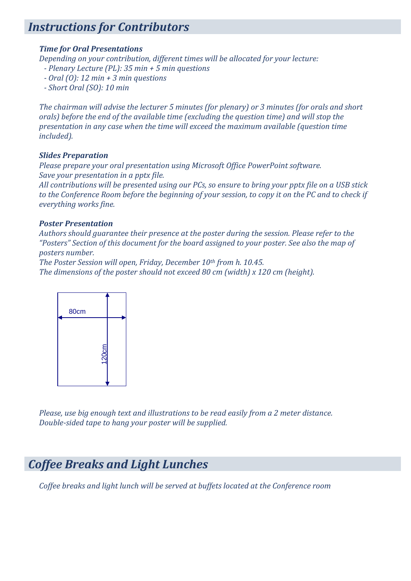### *Instructions for Contributors*

#### *Time for Oral Presentations*

*Depending on your contribution, different times will be allocated for your lecture:*

- *- Plenary Lecture (PL): 35 min + 5 min questions*
- *- Oral (O): 12 min + 3 min questions*
- *- Short Oral (SO): 10 min*

*The chairman will advise the lecturer 5 minutes (for plenary) or 3 minutes (for orals and short orals) before the end of the available time (excluding the question time) and will stop the presentation in any case when the time will exceed the maximum available (question time included).*

#### *Slides Preparation*

*Please prepare your oral presentation using Microsoft Office PowerPoint software. Save your presentation in a pptx file.*

*All contributions will be presented using our PCs, so ensure to bring your pptx file on a USB stick to the Conference Room before the beginning of your session, to copy it on the PC and to check if everything works fine.*

#### *Poster Presentation*

*Authors should guarantee their presence at the poster during the session. Please refer to the "Posters" Section of this document for the board assigned to your poster. See also the map of posters number.*

*The Poster Session will open, Friday, December 10th from h. 10.45. The dimensions of the poster should not exceed 80 cm (width) x 120 cm (height).*



*Please, use big enough text and illustrations to be read easily from a 2 meter distance. Double-sided tape to hang your poster will be supplied.*

### *Coffee Breaks and Light Lunches*

*Coffee breaks and light lunch will be served at buffets located at the Conference room*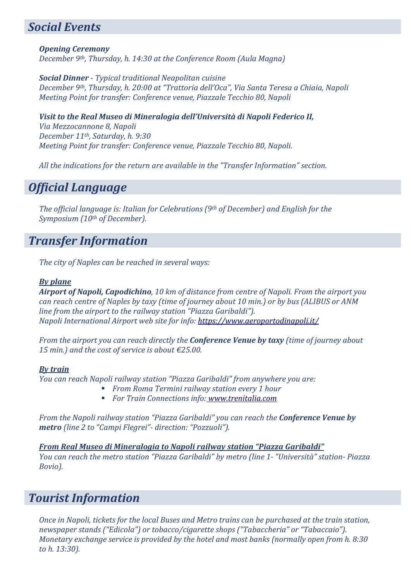### *Social Events*

*Opening Ceremony December 9th, Thursday, h. 14:30 at the Conference Room (Aula Magna)*

*Social Dinner - Typical traditional Neapolitan cuisine December 9th, Thursday, h. 20:00 at "Trattoria dell'Oca", Via Santa Teresa a Chiaia, Napoli Meeting Point for transfer: Conference venue, Piazzale Tecchio 80, Napoli*

*Visit to the Real Museo di Mineralogia dell'Università di Napoli Federico II, Via Mezzocannone 8, Napoli December 11th, Saturday, h. 9:30 Meeting Point for transfer: Conference venue, Piazzale Tecchio 80, Napoli.*

*All the indications for the return are available in the "Transfer Information" section.*

### *Official Language*

*The official language is: Italian for Celebrations (9th of December) and English for the Symposium (10th of December).*

### *Transfer Information*

*The city of Naples can be reached in several ways:*

#### *By plane*

*Airport of Napoli, Capodichino, 10 km of distance from centre of Napoli. From the airport you can reach centre of Naples by taxy (time of journey about 10 min.) or by bus (ALIBUS or ANM line from the airport to the railway station "Piazza Garibaldi"). Napoli International Airport web site for info[: https://www.aeroportodinapoli.it/](https://www.aeroportodinapoli.it/)*

*From the airport you can reach directly the Conference Venue by taxy (time of journey about 15 min.) and the cost of service is about €25.00.*

#### *By train*

*You can reach Napoli railway station "Piazza Garibaldi" from anywhere you are:* 

- *From Roma Termini railway station every 1 hour*
- *For Train Connections info: [www.trenitalia.com](http://www.trenitalia.com/)*

*From the Napoli railway station "Piazza Garibaldi" you can reach the Conference Venue by metro (line 2 to "Campi Flegrei"- direction: "Pozzuoli").*

*From Real Museo di Mineralogia to Napoli railway station "Piazza Garibaldi" You can reach the metro station "Piazza Garibaldi" by metro (line 1- "Università" station- Piazza Bovio).*

### *Tourist Information*

*Once in Napoli, tickets for the local Buses and Metro trains can be purchased at the train station, newspaper stands ("Edicola") or tobacco/cigarette shops ("Tabaccheria" or "Tabaccaio"). Monetary exchange service is provided by the hotel and most banks (normally open from h. 8:30 to h. 13:30).*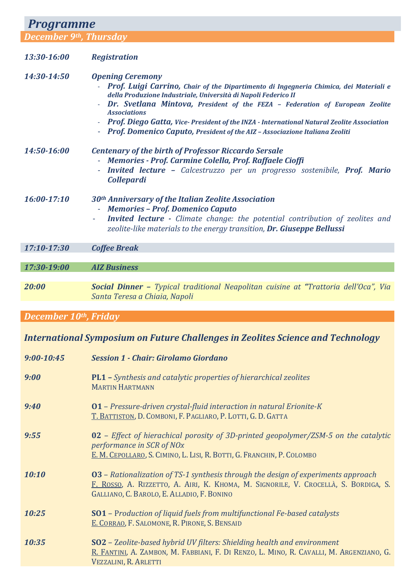| <b>Programme</b>       |                                                                                                                                                                                                                                                                                                                                                                                                                                                                                     |  |
|------------------------|-------------------------------------------------------------------------------------------------------------------------------------------------------------------------------------------------------------------------------------------------------------------------------------------------------------------------------------------------------------------------------------------------------------------------------------------------------------------------------------|--|
| December 9th, Thursday |                                                                                                                                                                                                                                                                                                                                                                                                                                                                                     |  |
| 13:30-16:00            | <b>Registration</b>                                                                                                                                                                                                                                                                                                                                                                                                                                                                 |  |
| 14:30-14:50            | <b>Opening Ceremony</b><br>Prof. Luigi Carrino, Chair of the Dipartimento di Ingegneria Chimica, dei Materiali e<br>della Produzione Industriale, Università di Napoli Federico II<br>Dr. Svetlana Mintova, President of the FEZA - Federation of European Zeolite<br>$\omega$<br><b>Associations</b><br>Prof. Diego Gatta, Vice-President of the INZA - International Natural Zeolite Association<br>- Prof. Domenico Caputo, President of the AIZ - Associazione Italiana Zeoliti |  |
| 14:50-16:00            | <b>Centenary of the birth of Professor Riccardo Sersale</b><br>- Memories - Prof. Carmine Colella, Prof. Raffaele Cioffi<br><b>Invited lecture -</b> Calcestruzzo per un progresso sostenibile, <b>Prof. Mario</b><br>$\equiv$<br><b>Collepardi</b>                                                                                                                                                                                                                                 |  |
| $16:00-17:10$          | 30 <sup>th</sup> Anniversary of the Italian Zeolite Association<br><b>Memories - Prof. Domenico Caputo</b><br>$\omega_{\rm{eff}}$<br><b>Invited lecture -</b> Climate change: the potential contribution of zeolites and<br>zeolite-like materials to the energy transition, Dr. Giuseppe Bellussi                                                                                                                                                                                  |  |
| 17:10-17:30            | <b>Coffee Break</b>                                                                                                                                                                                                                                                                                                                                                                                                                                                                 |  |
| 17:30-19:00            | <b>AIZ Business</b>                                                                                                                                                                                                                                                                                                                                                                                                                                                                 |  |
|                        |                                                                                                                                                                                                                                                                                                                                                                                                                                                                                     |  |
| 20:00                  | Social Dinner - Typical traditional Neapolitan cuisine at "Trattoria dell'Oca", Via<br>Santa Teresa a Chiaia, Napoli                                                                                                                                                                                                                                                                                                                                                                |  |
| December 10th, Friday  |                                                                                                                                                                                                                                                                                                                                                                                                                                                                                     |  |
|                        |                                                                                                                                                                                                                                                                                                                                                                                                                                                                                     |  |

### *International Symposium on Future Challenges in Zeolites Science and Technology*

| $9:00 - 10:45$ | <b>Session 1 - Chair: Girolamo Giordano</b>                                                                                                                                                                                   |
|----------------|-------------------------------------------------------------------------------------------------------------------------------------------------------------------------------------------------------------------------------|
| 9:00           | <b>PL1</b> - Synthesis and catalytic properties of hierarchical zeolites<br><b>MARTIN HARTMANN</b>                                                                                                                            |
| 9:40           | 01 - Pressure-driven crystal-fluid interaction in natural Erionite-K<br>T. BATTISTON, D. COMBONI, F. PAGLIARO, P. LOTTI, G. D. GATTA                                                                                          |
| 9:55           | $02$ – Effect of hierachical porosity of 3D-printed geopolymer/ZSM-5 on the catalytic<br>performance in SCR of NOx<br>E. M. CEPOLLARO, S. CIMINO, L. LISI, R. BOTTI, G. FRANCHIN, P. COLOMBO                                  |
| 10:10          | <b>03</b> – Rationalization of TS-1 synthesis through the design of experiments approach<br>F. ROSSO, A. RIZZETTO, A. AIRI, K. KHOMA, M. SIGNORILE, V. CROCELLÀ, S. BORDIGA, S.<br>GALLIANO, C. BAROLO, E. ALLADIO, F. BONINO |
| 10:25          | <b>SO1</b> - Production of liquid fuels from multifunctional Fe-based catalysts<br>E. CORRAO, F. SALOMONE, R. PIRONE, S. BENSAID                                                                                              |
| 10:35          | SO2 - Zeolite-based hybrid UV filters: Shielding health and environment<br>R. FANTINI, A. ZAMBON, M. FABBIANI, F. DI RENZO, L. MINO, R. CAVALLI, M. ARGENZIANO, G.<br>VEZZALINI, R. ARLETTI                                   |
|                |                                                                                                                                                                                                                               |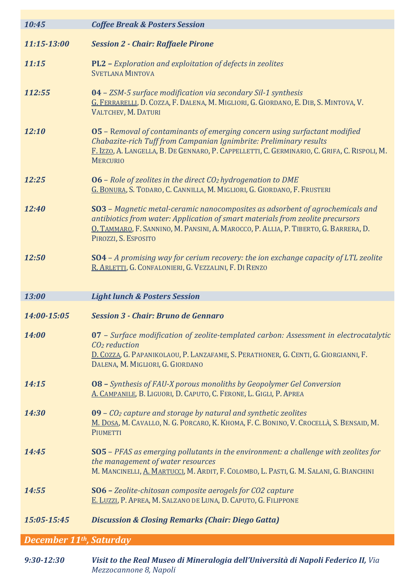| 10:45                                | <b>Coffee Break &amp; Posters Session</b>                                                                                                                                                                                                                                       |
|--------------------------------------|---------------------------------------------------------------------------------------------------------------------------------------------------------------------------------------------------------------------------------------------------------------------------------|
| 11:15-13:00                          | <b>Session 2 - Chair: Raffaele Pirone</b>                                                                                                                                                                                                                                       |
| 11:15                                | <b>PL2</b> - Exploration and exploitation of defects in zeolites<br><b>SVETLANA MINTOVA</b>                                                                                                                                                                                     |
| 112:55                               | 04 - ZSM-5 surface modification via secondary Sil-1 synthesis<br>G. FERRARELLI, D. COZZA, F. DALENA, M. MIGLIORI, G. GIORDANO, E. DIB, S. MINTOVA, V.<br>VALTCHEV, M. DATURI                                                                                                    |
| 12:10                                | 05 - Removal of contaminants of emerging concern using surfactant modified<br>Chabazite-rich Tuff from Campanian Ignimbrite: Preliminary results<br>F. Izzo, A. LANGELLA, B. DE GENNARO, P. CAPPELLETTI, C. GERMINARIO, C. GRIFA, C. RISPOLI, M.<br><b>MERCURIO</b>             |
| 12:25                                | $06$ – Role of zeolites in the direct CO <sub>2</sub> hydrogenation to DME<br>G. BONURA, S. TODARO, C. CANNILLA, M. MIGLIORI, G. GIORDANO, F. FRUSTERI                                                                                                                          |
| 12:40                                | SO3 - Magnetic metal-ceramic nanocomposites as adsorbent of agrochemicals and<br>antibiotics from water: Application of smart materials from zeolite precursors<br>O. TAMMARO, F. SANNINO, M. PANSINI, A. MAROCCO, P. ALLIA, P. TIBERTO, G. BARRERA, D.<br>PIROZZI, S. ESPOSITO |
| 12:50                                | <b>SO4</b> - A promising way for cerium recovery: the ion exchange capacity of LTL zeolite<br>R. ARLETTI, G. CONFALONIERI, G. VEZZALINI, F. DI RENZO                                                                                                                            |
| 13:00                                | <b>Light lunch &amp; Posters Session</b>                                                                                                                                                                                                                                        |
| 14:00-15:05                          | <b>Session 3 - Chair: Bruno de Gennaro</b>                                                                                                                                                                                                                                      |
| 14:00                                | 07 - Surface modification of zeolite-templated carbon: Assessment in electrocatalytic<br>$CO2$ reduction<br>D. COZZA, G. PAPANIKOLAOU, P. LANZAFAME, S. PERATHONER, G. CENTI, G. GIORGIANNI, F.<br>DALENA, M. MIGLIORI, G. GIORDANO                                             |
| 14:15                                | 08 - Synthesis of FAU-X porous monoliths by Geopolymer Gel Conversion<br>A. CAMPANILE, B. LIGUORI, D. CAPUTO, C. FERONE, L. GIGLI, P. APREA                                                                                                                                     |
| 14:30                                | $09$ – $CO2$ capture and storage by natural and synthetic zeolites<br>M. DOSA, M. CAVALLO, N. G. PORCARO, K. KHOMA, F. C. BONINO, V. CROCELLÀ, S. BENSAID, M.<br>PIUMETTI                                                                                                       |
| 14:45                                | <b>SO5</b> - PFAS as emerging pollutants in the environment: a challenge with zeolites for<br>the management of water resources<br>M. MANCINELLI, A. MARTUCCI, M. ARDIT, F. COLOMBO, L. PASTI, G. M. SALANI, G. BIANCHINI                                                       |
| 14:55                                | SO6 - Zeolite-chitosan composite aerogels for CO2 capture<br>E. LUZZI, P. APREA, M. SALZANO DE LUNA, D. CAPUTO, G. FILIPPONE                                                                                                                                                    |
| 15:05-15:45                          | <b>Discussion &amp; Closing Remarks (Chair: Diego Gatta)</b>                                                                                                                                                                                                                    |
| December 11 <sup>th</sup> , Saturday |                                                                                                                                                                                                                                                                                 |

*9:30-12:30 Visit to the Real Museo di Mineralogia dell'Università di Napoli Federico II, Via Mezzocannone 8, Napoli*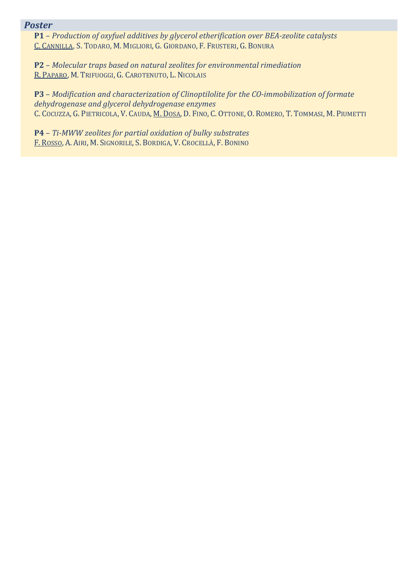#### *Poster*

**P1** – *Production of oxyfuel additives by glycerol etherification over BEA-zeolite catalysts* C. CANNILLA, S. TODARO, M. MIGLIORI, G. GIORDANO, F. FRUSTERI, G. BONURA

**P2** – *Molecular traps based on natural zeolites for environmental rimediation* R. PAPARO, M. TRIFUOGGI, G. CAROTENUTO, L. NICOLAIS

**P3** – *Modification and characterization of Clinoptilolite for the CO-immobilization of formate dehydrogenase and glycerol dehydrogenase enzymes* C. COCUZZA, G. PIETRICOLA, V. CAUDA, M. DOSA, D. FINO, C. OTTONE, O. ROMERO, T. TOMMASI, M. PIUMETTI

**P4** – *Ti-MWW zeolites for partial oxidation of bulky substrates* F. ROSSO, A. AIRI, M. SIGNORILE, S. BORDIGA, V. CROCELLÀ, F. BONINO